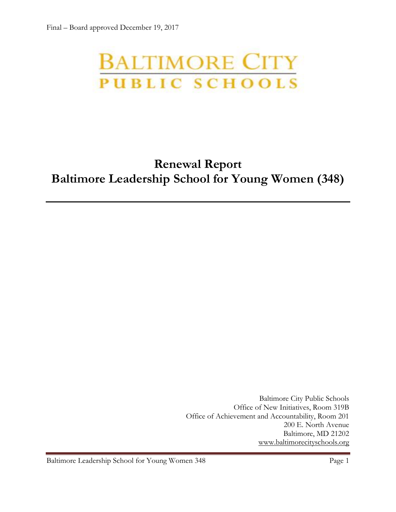# **BALTIMORE CITY** PUBLIC SCHOOLS

## **Renewal Report Baltimore Leadership School for Young Women (348)**

Baltimore City Public Schools Office of New Initiatives, Room 319B Office of Achievement and Accountability, Room 201 200 E. North Avenue Baltimore, MD 21202 [www.baltimorecityschools.org](http://www.baltimorecityschools.org/)

Baltimore Leadership School for Young Women 348 Page 1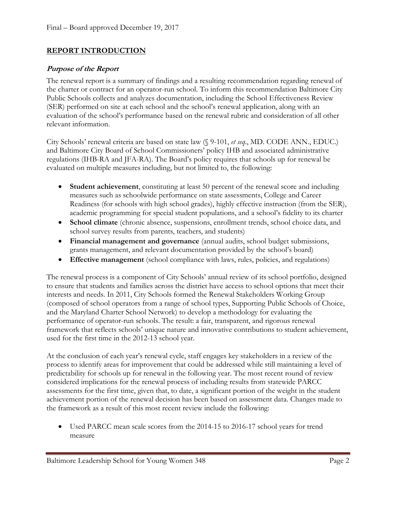#### **REPORT INTRODUCTION**

#### **Purpose of the Report**

The renewal report is a summary of findings and a resulting recommendation regarding renewal of the charter or contract for an operator-run school. To inform this recommendation Baltimore City Public Schools collects and analyzes documentation, including the School Effectiveness Review (SER) performed on site at each school and the school's renewal application, along with an evaluation of the school's performance based on the renewal rubric and consideration of all other relevant information.

City Schools' renewal criteria are based on state law (§ 9-101, *et seq*., MD. CODE ANN., EDUC.) and Baltimore City Board of School Commissioners' policy IHB and associated administrative regulations (IHB-RA and JFA-RA). The Board's policy requires that schools up for renewal be evaluated on multiple measures including, but not limited to, the following:

- **Student achievement**, constituting at least 50 percent of the renewal score and including measures such as schoolwide performance on state assessments, College and Career Readiness (for schools with high school grades), highly effective instruction (from the SER), academic programming for special student populations, and a school's fidelity to its charter
- **School climate** (chronic absence, suspensions, enrollment trends, school choice data, and school survey results from parents, teachers, and students)
- **Financial management and governance** (annual audits, school budget submissions, grants management, and relevant documentation provided by the school's board)
- **Effective management** (school compliance with laws, rules, policies, and regulations)

The renewal process is a component of City Schools' annual review of its school portfolio, designed to ensure that students and families across the district have access to school options that meet their interests and needs. In 2011, City Schools formed the Renewal Stakeholders Working Group (composed of school operators from a range of school types, Supporting Public Schools of Choice, and the Maryland Charter School Network) to develop a methodology for evaluating the performance of operator-run schools. The result: a fair, transparent, and rigorous renewal framework that reflects schools' unique nature and innovative contributions to student achievement, used for the first time in the 2012-13 school year.

At the conclusion of each year's renewal cycle, staff engages key stakeholders in a review of the process to identify areas for improvement that could be addressed while still maintaining a level of predictability for schools up for renewal in the following year. The most recent round of review considered implications for the renewal process of including results from statewide PARCC assessments for the first time, given that, to date, a significant portion of the weight in the student achievement portion of the renewal decision has been based on assessment data. Changes made to the framework as a result of this most recent review include the following:

 Used PARCC mean scale scores from the 2014-15 to 2016-17 school years for trend measure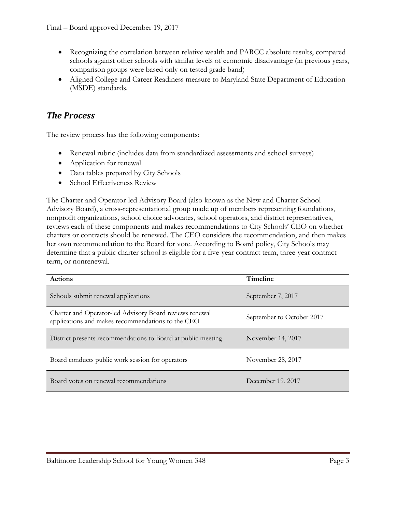- Recognizing the correlation between relative wealth and PARCC absolute results, compared schools against other schools with similar levels of economic disadvantage (in previous years, comparison groups were based only on tested grade band)
- Aligned College and Career Readiness measure to Maryland State Department of Education (MSDE) standards.

#### *The Process*

The review process has the following components:

- Renewal rubric (includes data from standardized assessments and school surveys)
- Application for renewal
- Data tables prepared by City Schools
- School Effectiveness Review

The Charter and Operator-led Advisory Board (also known as the New and Charter School Advisory Board), a cross-representational group made up of members representing foundations, nonprofit organizations, school choice advocates, school operators, and district representatives, reviews each of these components and makes recommendations to City Schools' CEO on whether charters or contracts should be renewed. The CEO considers the recommendation, and then makes her own recommendation to the Board for vote. According to Board policy, City Schools may determine that a public charter school is eligible for a five-year contract term, three-year contract term, or nonrenewal.

| <b>Actions</b>                                                                                               | <b>Timeline</b>           |  |
|--------------------------------------------------------------------------------------------------------------|---------------------------|--|
| Schools submit renewal applications                                                                          | September 7, 2017         |  |
| Charter and Operator-led Advisory Board reviews renewal<br>applications and makes recommendations to the CEO | September to October 2017 |  |
| District presents recommendations to Board at public meeting                                                 | November 14, 2017         |  |
| Board conducts public work session for operators                                                             | November 28, 2017         |  |
| Board votes on renewal recommendations                                                                       | December 19, 2017         |  |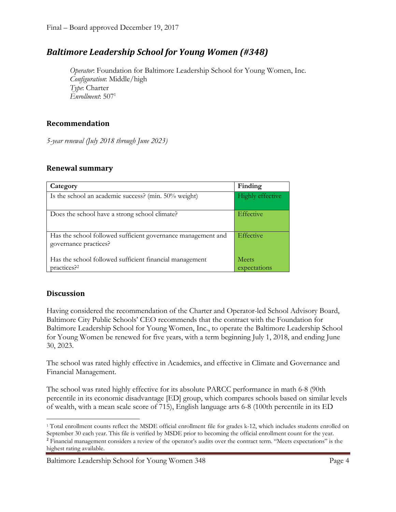### *Baltimore Leadership School for Young Women (#348)*

*Operator*: Foundation for Baltimore Leadership School for Young Women, Inc. *Configuration*: Middle/high *Type*: Charter *Enrollment*: 507<sup>1</sup>

#### **Recommendation**

*5-year renewal (July 2018 through June 2023)*

#### **Renewal summary**

| Category                                                                              | Finding                      |
|---------------------------------------------------------------------------------------|------------------------------|
| Is the school an academic success? (min. 50% weight)                                  | Highly effective             |
| Does the school have a strong school climate?                                         | Effective                    |
| Has the school followed sufficient governance management and<br>governance practices? | Effective                    |
| Has the school followed sufficient financial management<br>practices? <sup>2</sup>    | <b>Meets</b><br>expectations |

#### **Discussion**

Having considered the recommendation of the Charter and Operator-led School Advisory Board, Baltimore City Public Schools' CEO recommends that the contract with the Foundation for Baltimore Leadership School for Young Women, Inc., to operate the Baltimore Leadership School for Young Women be renewed for five years, with a term beginning July 1, 2018, and ending June 30, 2023.

The school was rated highly effective in Academics, and effective in Climate and Governance and Financial Management.

The school was rated highly effective for its absolute PARCC performance in math 6-8 (90th percentile in its economic disadvantage [ED] group, which compares schools based on similar levels of wealth, with a mean scale score of 715), English language arts 6-8 (100th percentile in its ED

 $\overline{a}$ <sup>1</sup> Total enrollment counts reflect the MSDE official enrollment file for grades k-12, which includes students enrolled on September 30 each year. This file is verified by MSDE prior to becoming the official enrollment count for the year. <sup>2</sup> Financial management considers a review of the operator's audits over the contract term. "Meets expectations" is the highest rating available.

Baltimore Leadership School for Young Women 348 Page 4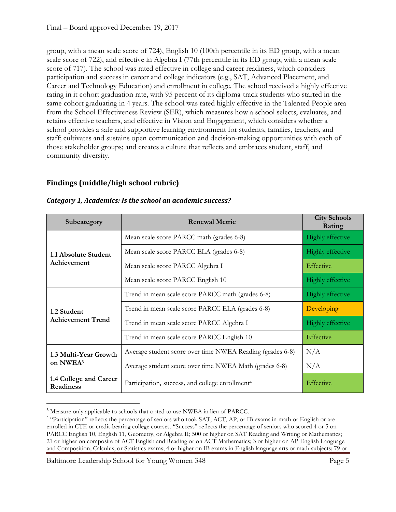group, with a mean scale score of 724), English 10 (100th percentile in its ED group, with a mean scale score of 722), and effective in Algebra I (77th percentile in its ED group, with a mean scale score of 717). The school was rated effective in college and career readiness, which considers participation and success in career and college indicators (e.g., SAT, Advanced Placement, and Career and Technology Education) and enrollment in college. The school received a highly effective rating in it cohort graduation rate, with 95 percent of its diploma-track students who started in the same cohort graduating in 4 years. The school was rated highly effective in the Talented People area from the School Effectiveness Review (SER), which measures how a school selects, evaluates, and retains effective teachers, and effective in Vision and Engagement, which considers whether a school provides a safe and supportive learning environment for students, families, teachers, and staff; cultivates and sustains open communication and decision-making opportunities with each of those stakeholder groups; and creates a culture that reflects and embraces student, staff, and community diversity.

#### **Findings (middle/high school rubric)**

| Subcategory                                   | <b>Renewal Metric</b>                                       | <b>City Schools</b><br>Rating |
|-----------------------------------------------|-------------------------------------------------------------|-------------------------------|
| 1.1 Absolute Student<br>Achievement           | Mean scale score PARCC math (grades 6-8)                    | <b>Highly effective</b>       |
|                                               | Mean scale score PARCC ELA (grades 6-8)                     | <b>Highly effective</b>       |
|                                               | Mean scale score PARCC Algebra I                            | Effective                     |
|                                               | Mean scale score PARCC English 10                           | <b>Highly effective</b>       |
| 1.2 Student<br><b>Achievement Trend</b>       | Trend in mean scale score PARCC math (grades 6-8)           | <b>Highly effective</b>       |
|                                               | Trend in mean scale score PARCC ELA (grades 6-8)            | Developing                    |
|                                               | Trend in mean scale score PARCC Algebra I                   | <b>Highly effective</b>       |
|                                               | Trend in mean scale score PARCC English 10                  | Effective                     |
| 1.3 Multi-Year Growth<br>on NWEA <sup>3</sup> | Average student score over time NWEA Reading (grades 6-8)   | N/A                           |
|                                               | Average student score over time NWEA Math (grades 6-8)      | N/A                           |
| 1.4 College and Career<br><b>Readiness</b>    | Participation, success, and college enrollment <sup>4</sup> | Effective                     |

#### *Category 1, Academics: Is the school an academic success?*

Baltimore Leadership School for Young Women 348 Page 5

l

<sup>3</sup> Measure only applicable to schools that opted to use NWEA in lieu of PARCC.

<sup>&</sup>lt;sup>4</sup> "Participation" reflects the percentage of seniors who took SAT, ACT, AP, or IB exams in math or English or are enrolled in CTE or credit-bearing college courses. "Success" reflects the percentage of seniors who scored 4 or 5 on PARCC English 10, English 11, Geometry, or Algebra II; 500 or higher on SAT Reading and Writing or Mathematics; 21 or higher on composite of ACT English and Reading or on ACT Mathematics; 3 or higher on AP English Language and Composition, Calculus, or Statistics exams; 4 or higher on IB exams in English language arts or math subjects; 79 or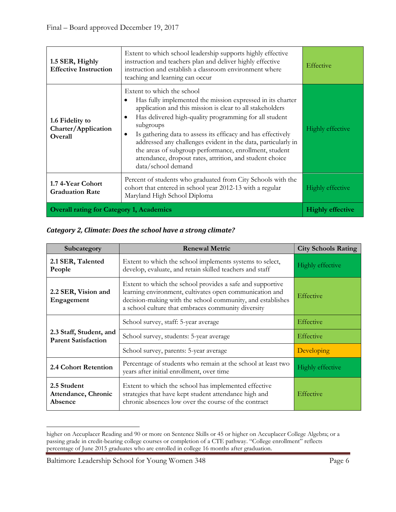| 1.5 SER, Highly<br><b>Effective Instruction</b>   | Extent to which school leadership supports highly effective<br>instruction and teachers plan and deliver highly effective<br>instruction and establish a classroom environment where<br>teaching and learning can occur                                                                                                                                                                                                                                                                                   | Effective               |
|---------------------------------------------------|-----------------------------------------------------------------------------------------------------------------------------------------------------------------------------------------------------------------------------------------------------------------------------------------------------------------------------------------------------------------------------------------------------------------------------------------------------------------------------------------------------------|-------------------------|
| 1.6 Fidelity to<br>Charter/Application<br>Overall | Extent to which the school<br>Has fully implemented the mission expressed in its charter<br>application and this mission is clear to all stakeholders<br>Has delivered high-quality programming for all student<br>subgroups<br>Is gathering data to assess its efficacy and has effectively<br>addressed any challenges evident in the data, particularly in<br>the areas of subgroup performance, enrollment, student<br>attendance, dropout rates, attrition, and student choice<br>data/school demand | <b>Highly effective</b> |
| 1.7 4-Year Cohort<br><b>Graduation Rate</b>       | Percent of students who graduated from City Schools with the<br>cohort that entered in school year 2012-13 with a regular<br>Maryland High School Diploma                                                                                                                                                                                                                                                                                                                                                 | <b>Highly effective</b> |
| <b>Overall rating for Category 1, Academics</b>   |                                                                                                                                                                                                                                                                                                                                                                                                                                                                                                           | <b>Highly effective</b> |

*Category 2, Climate: Does the school have a strong climate?*

| Subcategory                                           | <b>Renewal Metric</b>                                                                                                                                                                                                                    | <b>City Schools Rating</b> |
|-------------------------------------------------------|------------------------------------------------------------------------------------------------------------------------------------------------------------------------------------------------------------------------------------------|----------------------------|
| 2.1 SER, Talented<br>People                           | Extent to which the school implements systems to select,<br>develop, evaluate, and retain skilled teachers and staff                                                                                                                     | Highly effective           |
| 2.2 SER, Vision and<br>Engagement                     | Extent to which the school provides a safe and supportive<br>learning environment, cultivates open communication and<br>decision-making with the school community, and establishes<br>a school culture that embraces community diversity | Effective                  |
|                                                       | School survey, staff: 5-year average                                                                                                                                                                                                     | <b>Effective</b>           |
| 2.3 Staff, Student, and<br><b>Parent Satisfaction</b> | School survey, students: 5-year average                                                                                                                                                                                                  | <b>Effective</b>           |
|                                                       | School survey, parents: 5-year average                                                                                                                                                                                                   | Developing                 |
| 2.4 Cohort Retention                                  | Percentage of students who remain at the school at least two<br>years after initial enrollment, over time                                                                                                                                | <b>Highly effective</b>    |
| 2.5 Student<br>Attendance, Chronic<br>Absence         | Extent to which the school has implemented effective<br>strategies that have kept student attendance high and<br>chronic absences low over the course of the contract                                                                    | Effective                  |

higher on Accuplacer Reading and 90 or more on Sentence Skills or 45 or higher on Accuplacer College Algebra; or a passing grade in credit-bearing college courses or completion of a CTE pathway. "College enrollment" reflects percentage of June 2015 graduates who are enrolled in college 16 months after graduation.

l

Baltimore Leadership School for Young Women 348 Page 6